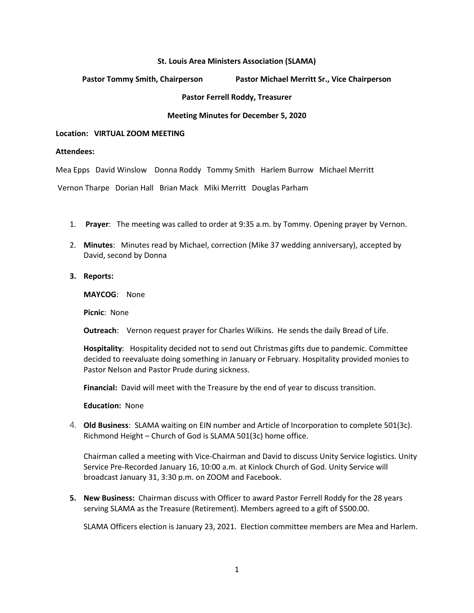### **St. Louis Area Ministers Association (SLAMA)**

**Pastor Tommy Smith, Chairperson Pastor Michael Merritt Sr., Vice Chairperson**

**Pastor Ferrell Roddy, Treasurer** 

## **Meeting Minutes for December 5, 2020**

### **Location: VIRTUAL ZOOM MEETING**

#### **Attendees:**

Mea Epps David Winslow Donna Roddy Tommy Smith Harlem Burrow Michael Merritt

Vernon Tharpe Dorian Hall Brian Mack Miki Merritt Douglas Parham

- 1. **Prayer**: The meeting was called to order at 9:35 a.m. by Tommy. Opening prayer by Vernon.
- 2. **Minutes**: Minutes read by Michael, correction (Mike 37 wedding anniversary), accepted by David, second by Donna
- **3. Reports:**

**MAYCOG**: None

**Picnic**: None

**Outreach**: Vernon request prayer for Charles Wilkins. He sends the daily Bread of Life.

**Hospitality**: Hospitality decided not to send out Christmas gifts due to pandemic. Committee decided to reevaluate doing something in January or February. Hospitality provided monies to Pastor Nelson and Pastor Prude during sickness.

**Financial:** David will meet with the Treasure by the end of year to discuss transition.

**Education:** None

4. **Old Business**: SLAMA waiting on EIN number and Article of Incorporation to complete 501(3c). Richmond Height – Church of God is SLAMA 501(3c) home office.

Chairman called a meeting with Vice-Chairman and David to discuss Unity Service logistics. Unity Service Pre-Recorded January 16, 10:00 a.m. at Kinlock Church of God. Unity Service will broadcast January 31, 3:30 p.m. on ZOOM and Facebook.

**5. New Business:** Chairman discuss with Officer to award Pastor Ferrell Roddy for the 28 years serving SLAMA as the Treasure (Retirement). Members agreed to a gift of \$500.00.

SLAMA Officers election is January 23, 2021. Election committee members are Mea and Harlem.